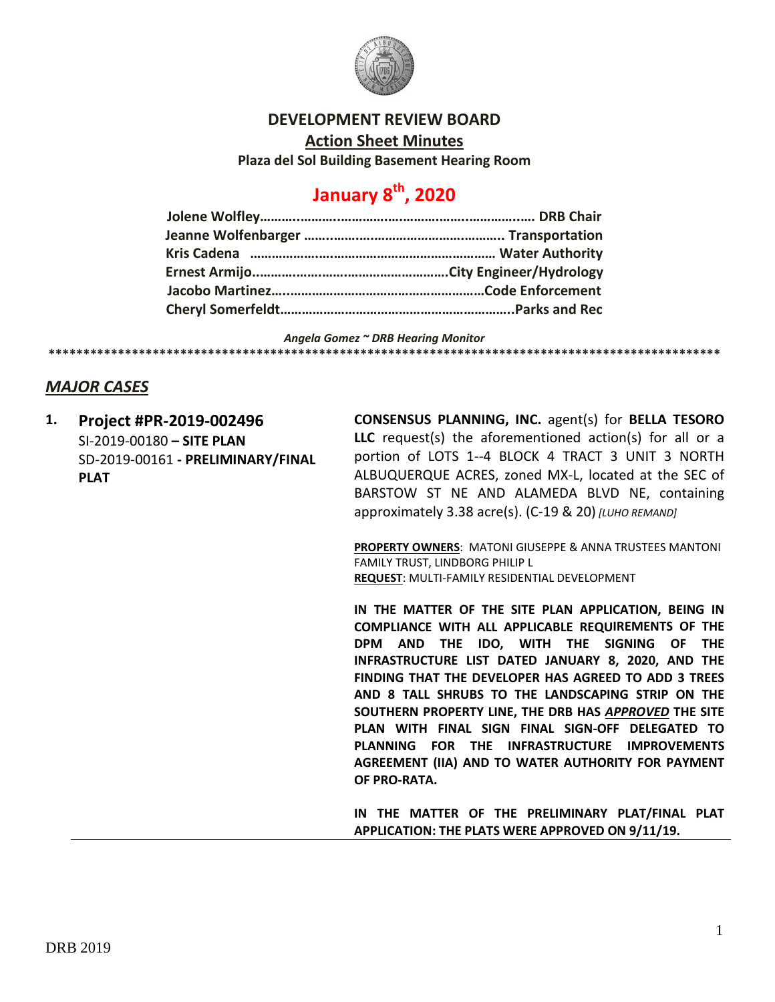

## **DEVELOPMENT REVIEW BOARD**

**Action Sheet Minutes**

**Plaza del Sol Building Basement Hearing Room**

## **January 8th, 2020**

*Angela Gomez ~ DRB Hearing Monitor*

**\*\*\*\*\*\*\*\*\*\*\*\*\*\*\*\*\*\*\*\*\*\*\*\*\*\*\*\*\*\*\*\*\*\*\*\*\*\*\*\*\*\*\*\*\*\*\*\*\*\*\*\*\*\*\*\*\*\*\*\*\*\*\*\*\*\*\*\*\*\*\*\*\*\*\*\*\*\*\*\*\*\*\*\*\*\*\*\*\*\*\*\*\*\*\*\*\***

## *MAJOR CASES*

**1. Project #PR-2019-002496** SI-2019-00180 **– SITE PLAN** SD-2019-00161 **- PRELIMINARY/FINAL PLAT**

**CONSENSUS PLANNING, INC.** agent(s) for **BELLA TESORO LLC** request(s) the aforementioned action(s) for all or a portion of LOTS 1--4 BLOCK 4 TRACT 3 UNIT 3 NORTH ALBUQUERQUE ACRES, zoned MX-L, located at the SEC of BARSTOW ST NE AND ALAMEDA BLVD NE, containing approximately 3.38 acre(s). (C-19 & 20) *[LUHO REMAND]*

**PROPERTY OWNERS**: MATONI GIUSEPPE & ANNA TRUSTEES MANTONI FAMILY TRUST, LINDBORG PHILIP L **REQUEST**: MULTI-FAMILY RESIDENTIAL DEVELOPMENT

**IN THE MATTER OF THE SITE PLAN APPLICATION, BEING IN COMPLIANCE WITH ALL APPLICABLE REQUIREMENTS OF THE DPM AND THE IDO, WITH THE SIGNING OF THE INFRASTRUCTURE LIST DATED JANUARY 8, 2020, AND THE FINDING THAT THE DEVELOPER HAS AGREED TO ADD 3 TREES AND 8 TALL SHRUBS TO THE LANDSCAPING STRIP ON THE SOUTHERN PROPERTY LINE, THE DRB HAS** *APPROVED* **THE SITE PLAN WITH FINAL SIGN FINAL SIGN-OFF DELEGATED TO PLANNING FOR THE INFRASTRUCTURE IMPROVEMENTS AGREEMENT (IIA) AND TO WATER AUTHORITY FOR PAYMENT OF PRO-RATA.**

**IN THE MATTER OF THE PRELIMINARY PLAT/FINAL PLAT APPLICATION: THE PLATS WERE APPROVED ON 9/11/19.**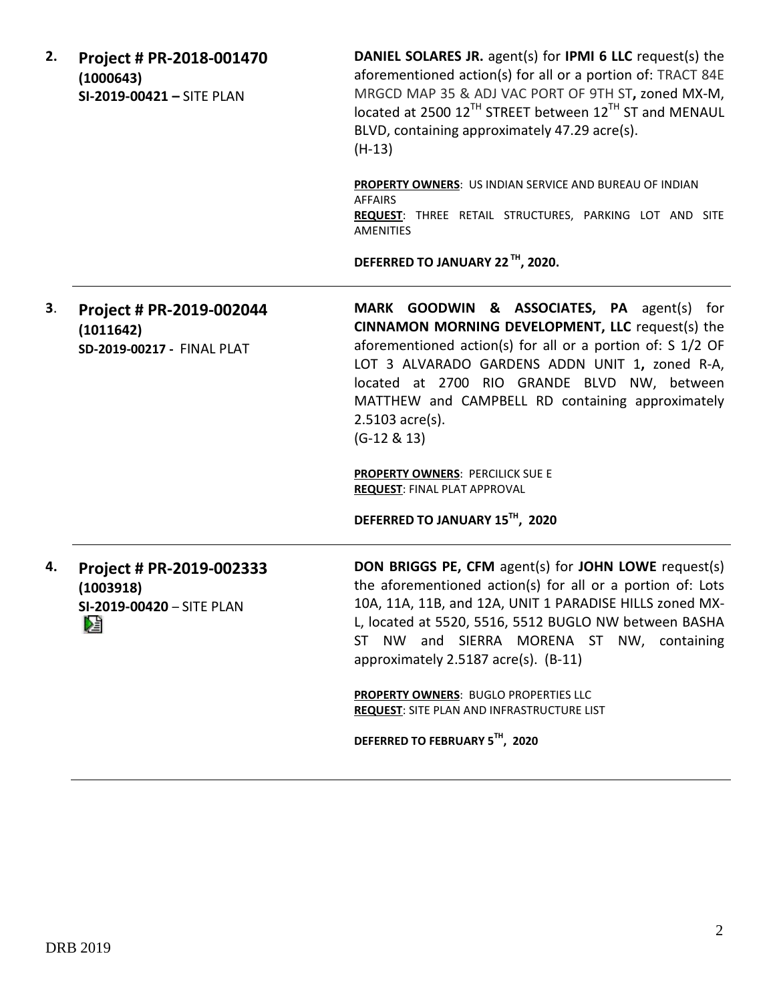| 2. | Project # PR-2018-001470<br>(1000643)<br>SI-2019-00421 - SITE PLAN      | <b>DANIEL SOLARES JR.</b> agent(s) for <b>IPMI 6 LLC</b> request(s) the<br>aforementioned action(s) for all or a portion of: TRACT 84E<br>MRGCD MAP 35 & ADJ VAC PORT OF 9TH ST, zoned MX-M,<br>located at 2500 12 <sup>TH</sup> STREET between 12 <sup>TH</sup> ST and MENAUL<br>BLVD, containing approximately 47.29 acre(s).<br>$(H-13)$                 |
|----|-------------------------------------------------------------------------|-------------------------------------------------------------------------------------------------------------------------------------------------------------------------------------------------------------------------------------------------------------------------------------------------------------------------------------------------------------|
|    |                                                                         | PROPERTY OWNERS: US INDIAN SERVICE AND BUREAU OF INDIAN<br><b>AFFAIRS</b><br>REQUEST: THREE RETAIL STRUCTURES, PARKING LOT AND SITE<br><b>AMENITIES</b>                                                                                                                                                                                                     |
|    |                                                                         | DEFERRED TO JANUARY 22 <sup>TH</sup> , 2020.                                                                                                                                                                                                                                                                                                                |
| З. | Project # PR-2019-002044<br>(1011642)<br>SD-2019-00217 - FINAL PLAT     | MARK GOODWIN & ASSOCIATES, PA agent(s) for<br>CINNAMON MORNING DEVELOPMENT, LLC request(s) the<br>aforementioned action(s) for all or a portion of: S 1/2 OF<br>LOT 3 ALVARADO GARDENS ADDN UNIT 1, zoned R-A,<br>located at 2700 RIO GRANDE BLVD NW, between<br>MATTHEW and CAMPBELL RD containing approximately<br>$2.5103$ acre(s).<br>$(G-12 & 8 & 13)$ |
|    |                                                                         | <b>PROPERTY OWNERS: PERCILICK SUE E</b><br><b>REQUEST: FINAL PLAT APPROVAL</b>                                                                                                                                                                                                                                                                              |
|    |                                                                         | DEFERRED TO JANUARY 15TH, 2020                                                                                                                                                                                                                                                                                                                              |
| 4. | Project # PR-2019-002333<br>(1003918)<br>SI-2019-00420 - SITE PLAN<br>冱 | DON BRIGGS PE, CFM agent(s) for JOHN LOWE request(s)<br>the aforementioned action(s) for all or a portion of: Lots<br>10A, 11A, 11B, and 12A, UNIT 1 PARADISE HILLS zoned MX-<br>L, located at 5520, 5516, 5512 BUGLO NW between BASHA<br>ST NW and SIERRA MORENA ST NW, containing<br>approximately 2.5187 acre(s). (B-11)                                 |
|    |                                                                         | <b>PROPERTY OWNERS: BUGLO PROPERTIES LLC</b><br>REQUEST: SITE PLAN AND INFRASTRUCTURE LIST                                                                                                                                                                                                                                                                  |
|    |                                                                         | DEFERRED TO FEBRUARY 5TH, 2020                                                                                                                                                                                                                                                                                                                              |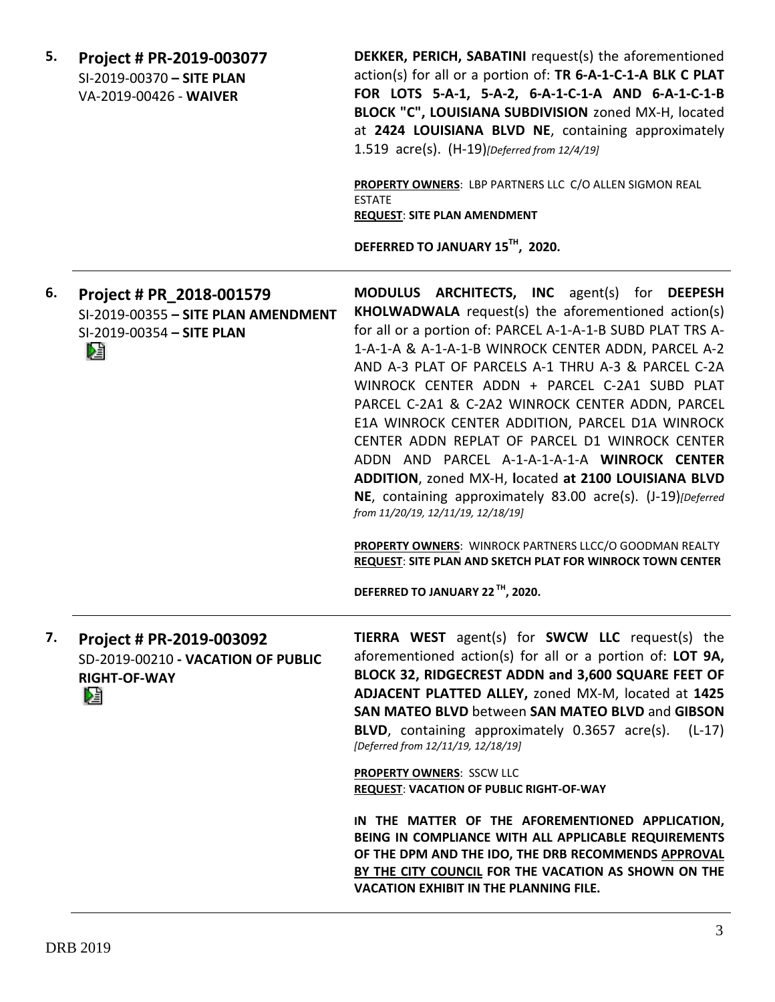**DEKKER, PERICH, SABATINI** request(s) the aforementioned **5. Project # PR-2019-003077** action(s) for all or a portion of: **TR 6-A-1-C-1-A BLK C PLAT**  SI-2019-00370 **– SITE PLAN FOR LOTS 5-A-1, 5-A-2, 6-A-1-C-1-A AND 6-A-1-C-1-B**  VA-2019-00426 - **WAIVER BLOCK "C", LOUISIANA SUBDIVISION** zoned MX-H, located at **2424 LOUISIANA BLVD NE**, containing approximately 1.519 acre(s). (H-19)*[Deferred from 12/4/19]* **PROPERTY OWNERS**: LBP PARTNERS LLC C/O ALLEN SIGMON REAL ESTATE **REQUEST**: **SITE PLAN AMENDMENT DEFERRED TO JANUARY 15TH, 2020. MODULUS ARCHITECTS, INC** agent(s) for **DEEPESH 6. Project # PR\_2018-001579 KHOLWADWALA** request(s) the aforementioned action(s) SI-2019-00355 **– SITE PLAN AMENDMENT** for all or a portion of: PARCEL A-1-A-1-B SUBD PLAT TRS A-SI-2019-00354 **– SITE PLAN** 1-A-1-A & A-1-A-1-B WINROCK CENTER ADDN, PARCEL A-2 Dâ AND A-3 PLAT OF PARCELS A-1 THRU A-3 & PARCEL C-2A WINROCK CENTER ADDN + PARCEL C-2A1 SUBD PLAT PARCEL C-2A1 & C-2A2 WINROCK CENTER ADDN, PARCEL E1A WINROCK CENTER ADDITION, PARCEL D1A WINROCK CENTER ADDN REPLAT OF PARCEL D1 WINROCK CENTER ADDN AND PARCEL A-1-A-1-A-1-A **WINROCK CENTER ADDITION**, zoned MX-H, **l**ocated **at 2100 LOUISIANA BLVD NE**, containing approximately 83.00 acre(s). (J-19)*[Deferred from 11/20/19, 12/11/19, 12/18/19]* **PROPERTY OWNERS**: WINROCK PARTNERS LLCC/O GOODMAN REALTY **REQUEST**: **SITE PLAN AND SKETCH PLAT FOR WINROCK TOWN CENTER DEFERRED TO JANUARY 22 TH, 2020. TIERRA WEST** agent(s) for **SWCW LLC** request(s) the **7. Project # PR-2019-003092** aforementioned action(s) for all or a portion of: **LOT 9A,**  SD-2019-00210 **- VACATION OF PUBLIC BLOCK 32, RIDGECREST ADDN and 3,600 SQUARE FEET OF RIGHT-OF-WAY ADJACENT PLATTED ALLEY,** zoned MX-M, located at **1425**  Æ **SAN MATEO BLVD** between **SAN MATEO BLVD** and **GIBSON BLVD**, containing approximately 0.3657 acre(s). (L-17) *[Deferred from 12/11/19, 12/18/19]* **PROPERTY OWNERS**: SSCW LLC **REQUEST**: **VACATION OF PUBLIC RIGHT-OF-WAY IN THE MATTER OF THE AFOREMENTIONED APPLICATION, BEING IN COMPLIANCE WITH ALL APPLICABLE REQUIREMENTS OF THE DPM AND THE IDO, THE DRB RECOMMENDS APPROVAL BY THE CITY COUNCIL FOR THE VACATION AS SHOWN ON THE VACATION EXHIBIT IN THE PLANNING FILE.**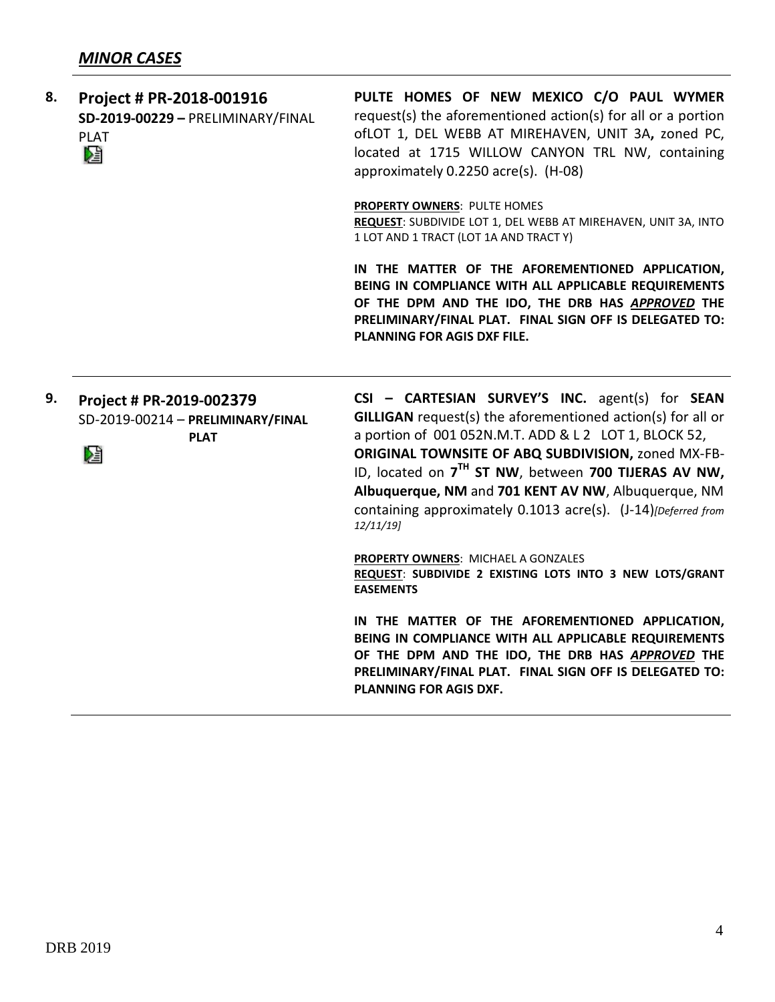| 8. | Project # PR-2018-001916<br>SD-2019-00229 - PRELIMINARY/FINAL<br><b>PLAT</b><br>Œ | PULTE HOMES OF NEW MEXICO C/O PAUL WYMER<br>request(s) the aforementioned action(s) for all or a portion<br>ofLOT 1, DEL WEBB AT MIREHAVEN, UNIT 3A, zoned PC,<br>located at 1715 WILLOW CANYON TRL NW, containing<br>approximately 0.2250 acre(s). (H-08)                                                                                                                                                                                    |  |
|----|-----------------------------------------------------------------------------------|-----------------------------------------------------------------------------------------------------------------------------------------------------------------------------------------------------------------------------------------------------------------------------------------------------------------------------------------------------------------------------------------------------------------------------------------------|--|
|    |                                                                                   | PROPERTY OWNERS: PULTE HOMES<br>REQUEST: SUBDIVIDE LOT 1, DEL WEBB AT MIREHAVEN, UNIT 3A, INTO<br>1 LOT AND 1 TRACT (LOT 1A AND TRACT Y)                                                                                                                                                                                                                                                                                                      |  |
|    |                                                                                   | IN THE MATTER OF THE AFOREMENTIONED APPLICATION,<br>BEING IN COMPLIANCE WITH ALL APPLICABLE REQUIREMENTS<br>OF THE DPM AND THE IDO, THE DRB HAS APPROVED THE<br>PRELIMINARY/FINAL PLAT. FINAL SIGN OFF IS DELEGATED TO:<br>PLANNING FOR AGIS DXF FILE.                                                                                                                                                                                        |  |
| 9. | Project # PR-2019-002379<br>SD-2019-00214 - PRELIMINARY/FINAL<br><b>PLAT</b><br>Ł | CSI - CARTESIAN SURVEY'S INC. agent(s) for SEAN<br><b>GILLIGAN</b> request(s) the aforementioned action(s) for all or<br>a portion of 001 052N.M.T. ADD & L 2 LOT 1, BLOCK 52,<br>ORIGINAL TOWNSITE OF ABQ SUBDIVISION, zoned MX-FB-<br>ID, located on 7 <sup>TH</sup> ST NW, between 700 TIJERAS AV NW,<br>Albuquerque, NM and 701 KENT AV NW, Albuquerque, NM<br>containing approximately 0.1013 acre(s). (J-14) [Deferred from<br>12/11/19 |  |
|    |                                                                                   | <b>PROPERTY OWNERS: MICHAEL A GONZALES</b><br>REQUEST: SUBDIVIDE 2 EXISTING LOTS INTO 3 NEW LOTS/GRANT<br><b>EASEMENTS</b>                                                                                                                                                                                                                                                                                                                    |  |
|    |                                                                                   | IN THE MATTER OF THE AFOREMENTIONED APPLICATION,<br>BEING IN COMPLIANCE WITH ALL APPLICABLE REQUIREMENTS<br>OF THE DPM AND THE IDO, THE DRB HAS APPROVED THE<br>PRELIMINARY/FINAL PLAT. FINAL SIGN OFF IS DELEGATED TO:<br>PLANNING FOR AGIS DXF.                                                                                                                                                                                             |  |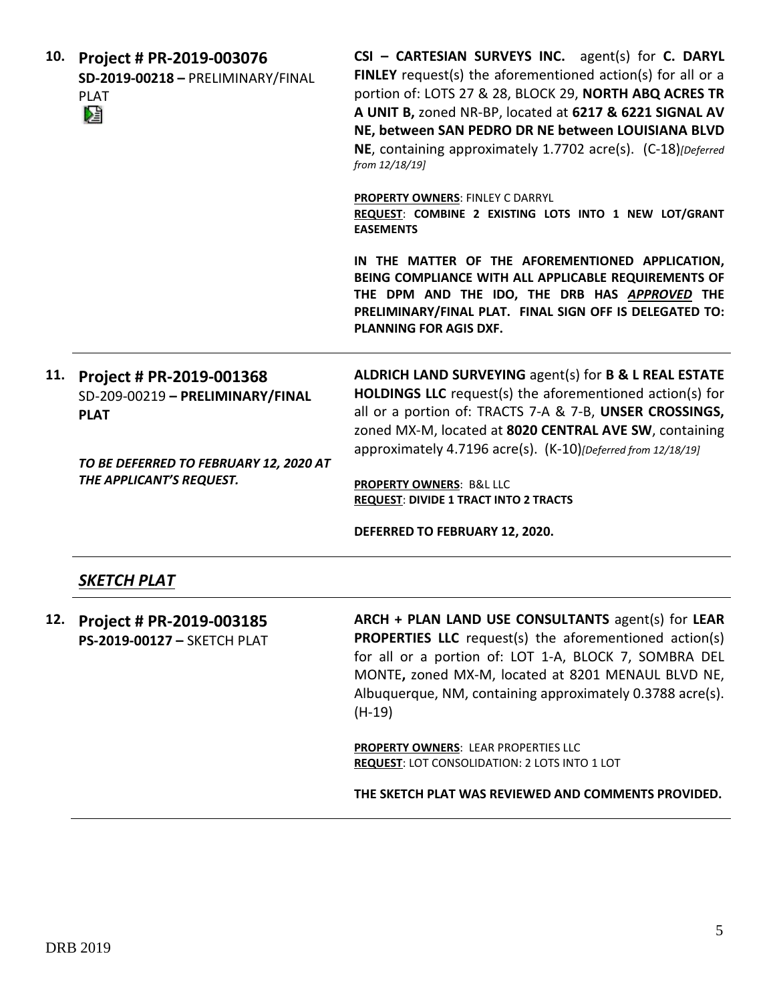| 10. | Project # PR-2019-003076<br>SD-2019-00218 - PRELIMINARY/FINAL<br><b>PLAT</b><br>V                                         | CSI - CARTESIAN SURVEYS INC. agent(s) for C. DARYL<br>FINLEY request(s) the aforementioned action(s) for all or a<br>portion of: LOTS 27 & 28, BLOCK 29, NORTH ABQ ACRES TR<br>A UNIT B, zoned NR-BP, located at 6217 & 6221 SIGNAL AV<br>NE, between SAN PEDRO DR NE between LOUISIANA BLVD<br>NE, containing approximately 1.7702 acre(s). (C-18)[Deferred<br>from 12/18/19] |
|-----|---------------------------------------------------------------------------------------------------------------------------|--------------------------------------------------------------------------------------------------------------------------------------------------------------------------------------------------------------------------------------------------------------------------------------------------------------------------------------------------------------------------------|
|     |                                                                                                                           | <b>PROPERTY OWNERS: FINLEY C DARRYL</b><br>REQUEST: COMBINE 2 EXISTING LOTS INTO 1 NEW LOT/GRANT<br><b>EASEMENTS</b>                                                                                                                                                                                                                                                           |
|     |                                                                                                                           | IN THE MATTER OF THE AFOREMENTIONED APPLICATION,<br>BEING COMPLIANCE WITH ALL APPLICABLE REQUIREMENTS OF<br>THE DPM AND THE IDO, THE DRB HAS APPROVED THE<br>PRELIMINARY/FINAL PLAT. FINAL SIGN OFF IS DELEGATED TO:<br><b>PLANNING FOR AGIS DXF.</b>                                                                                                                          |
|     | 11. Project # PR-2019-001368<br>SD-209-00219 - PRELIMINARY/FINAL<br><b>PLAT</b><br>TO BE DEFERRED TO FEBRUARY 12, 2020 AT | ALDRICH LAND SURVEYING agent(s) for B & L REAL ESTATE<br>HOLDINGS LLC request(s) the aforementioned action(s) for<br>all or a portion of: TRACTS 7-A & 7-B, UNSER CROSSINGS,<br>zoned MX-M, located at 8020 CENTRAL AVE SW, containing<br>approximately 4.7196 acre(s). (K-10)[Deferred from 12/18/19]                                                                         |
|     | THE APPLICANT'S REQUEST.                                                                                                  | PROPERTY OWNERS: B&L LLC<br><b>REQUEST: DIVIDE 1 TRACT INTO 2 TRACTS</b>                                                                                                                                                                                                                                                                                                       |
|     |                                                                                                                           | DEFERRED TO FEBRUARY 12, 2020.                                                                                                                                                                                                                                                                                                                                                 |
|     | SKETCH PLAT                                                                                                               |                                                                                                                                                                                                                                                                                                                                                                                |
| 12. | Project # PR-2019-003185<br>PS-2019-00127 - SKETCH PLAT                                                                   | ARCH + PLAN LAND USE CONSULTANTS agent(s) for LEAR<br><b>PROPERTIES LLC</b> request(s) the aforementioned action(s)<br>for all or a portion of: LOT 1-A, BLOCK 7, SOMBRA DEL<br>MONTE, zoned MX-M, located at 8201 MENAUL BLVD NE,<br>Albuquerque, NM, containing approximately 0.3788 acre(s).<br>$(H-19)$                                                                    |
|     |                                                                                                                           | <b>PROPERTY OWNERS: LEAR PROPERTIES LLC</b><br><b>REQUEST: LOT CONSOLIDATION: 2 LOTS INTO 1 LOT</b>                                                                                                                                                                                                                                                                            |
|     |                                                                                                                           | THE SKETCH PLAT WAS REVIEWED AND COMMENTS PROVIDED.                                                                                                                                                                                                                                                                                                                            |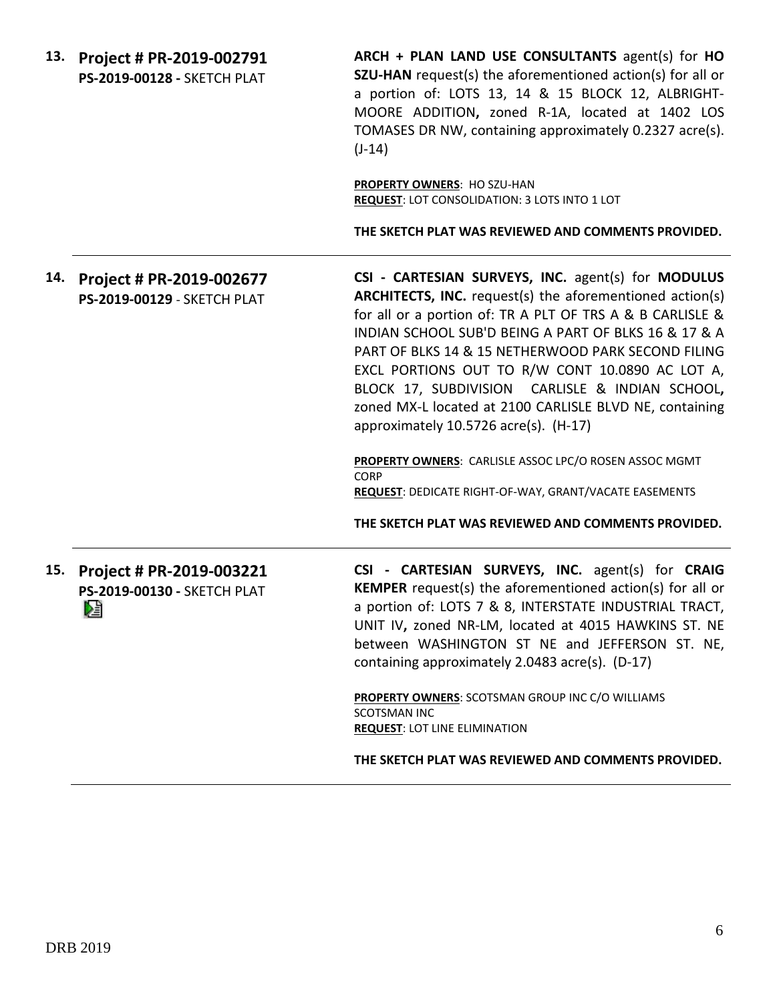**ARCH + PLAN LAND USE CONSULTANTS** agent(s) for **HO 13. Project # PR-2019-002791 SZU-HAN** request(s) the aforementioned action(s) for all or **PS-2019-00128 -** SKETCH PLAT a portion of: LOTS 13, 14 & 15 BLOCK 12, ALBRIGHT-MOORE ADDITION**,** zoned R-1A, located at 1402 LOS TOMASES DR NW, containing approximately 0.2327 acre(s).  $(J-14)$ **PROPERTY OWNERS**: HO SZU-HAN **REQUEST**: LOT CONSOLIDATION: 3 LOTS INTO 1 LOT **THE SKETCH PLAT WAS REVIEWED AND COMMENTS PROVIDED. CSI - CARTESIAN SURVEYS, INC.** agent(s) for **MODULUS 14. Project # PR-2019-002677 ARCHITECTS, INC.** request(s) the aforementioned action(s) **PS-2019-00129** - SKETCH PLAT for all or a portion of: TR A PLT OF TRS A & B CARLISLE & INDIAN SCHOOL SUB'D BEING A PART OF BLKS 16 & 17 & A PART OF BLKS 14 & 15 NETHERWOOD PARK SECOND FILING EXCL PORTIONS OUT TO R/W CONT 10.0890 AC LOT A, BLOCK 17, SUBDIVISION CARLISLE & INDIAN SCHOOL**,**  zoned MX-L located at 2100 CARLISLE BLVD NE, containing approximately 10.5726 acre(s). (H-17) **PROPERTY OWNERS**: CARLISLE ASSOC LPC/O ROSEN ASSOC MGMT CORP **REQUEST**: DEDICATE RIGHT-OF-WAY, GRANT/VACATE EASEMENTS **THE SKETCH PLAT WAS REVIEWED AND COMMENTS PROVIDED. 15. Project # PR-2019-003221 CSI - CARTESIAN SURVEYS, INC.** agent(s) for **CRAIG KEMPER** request(s) the aforementioned action(s) for all or **PS-2019-00130 -** SKETCH PLAT a portion of: LOTS 7 & 8, INTERSTATE INDUSTRIAL TRACT, DÊ UNIT IV**,** zoned NR-LM, located at 4015 HAWKINS ST. NE between WASHINGTON ST NE and JEFFERSON ST. NE, containing approximately 2.0483 acre(s). (D-17) **PROPERTY OWNERS**: SCOTSMAN GROUP INC C/O WILLIAMS SCOTSMAN INC **REQUEST**: LOT LINE ELIMINATION **THE SKETCH PLAT WAS REVIEWED AND COMMENTS PROVIDED.**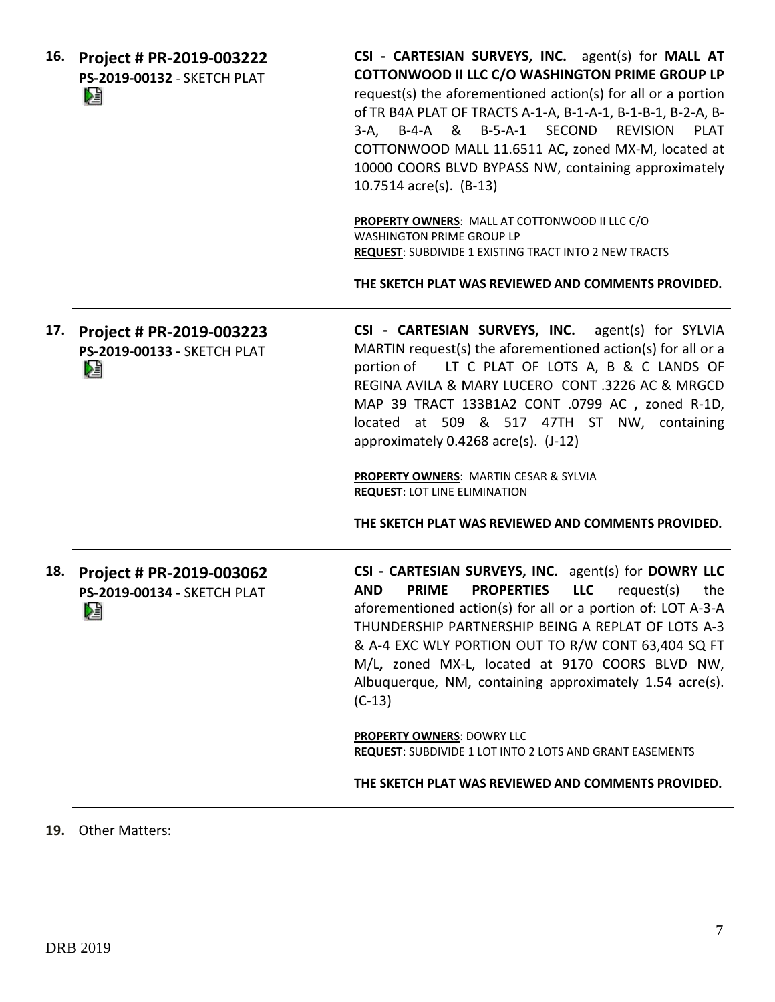**16. Project # PR-2019-003222 PS-2019-00132** - SKETCH PLAT DË

**CSI - CARTESIAN SURVEYS, INC.** agent(s) for **MALL AT COTTONWOOD II LLC C/O WASHINGTON PRIME GROUP LP** request(s) the aforementioned action(s) for all or a portion of TR B4A PLAT OF TRACTS A-1-A, B-1-A-1, B-1-B-1, B-2-A, B-3-A, B-4-A & B-5-A-1 SECOND REVISION PLAT COTTONWOOD MALL 11.6511 AC**,** zoned MX-M, located at 10000 COORS BLVD BYPASS NW, containing approximately 10.7514 acre(s). (B-13)

**PROPERTY OWNERS**: MALL AT COTTONWOOD II LLC C/O WASHINGTON PRIME GROUP LP **REQUEST**: SUBDIVIDE 1 EXISTING TRACT INTO 2 NEW TRACTS

**THE SKETCH PLAT WAS REVIEWED AND COMMENTS PROVIDED.**

**17. Project # PR-2019-003223 CSI - CARTESIAN SURVEYS, INC.** agent(s) for SYLVIA MARTIN request(s) the aforementioned action(s) for all or a **PS-2019-00133 -** SKETCH PLAT portion of LT C PLAT OF LOTS A, B & C LANDS OF DË REGINA AVILA & MARY LUCERO CONT .3226 AC & MRGCD MAP 39 TRACT 133B1A2 CONT .0799 AC **,** zoned R-1D, located at 509 & 517 47TH ST NW, containing approximately 0.4268 acre(s). (J-12)

> **PROPERTY OWNERS**: MARTIN CESAR & SYLVIA **REQUEST**: LOT LINE ELIMINATION

**THE SKETCH PLAT WAS REVIEWED AND COMMENTS PROVIDED.**

**18. Project # PR-2019-003062 PS-2019-00134 -** SKETCH PLAT Dă

**CSI - CARTESIAN SURVEYS, INC.** agent(s) for **DOWRY LLC AND PRIME PROPERTIES LLC** request(s) the aforementioned action(s) for all or a portion of: LOT A-3-A THUNDERSHIP PARTNERSHIP BEING A REPLAT OF LOTS A-3 & A-4 EXC WLY PORTION OUT TO R/W CONT 63,404 SQ FT M/L**,** zoned MX-L, located at 9170 COORS BLVD NW, Albuquerque, NM, containing approximately 1.54 acre(s). (C-13)

**PROPERTY OWNERS**: DOWRY LLC **REQUEST**: SUBDIVIDE 1 LOT INTO 2 LOTS AND GRANT EASEMENTS

**THE SKETCH PLAT WAS REVIEWED AND COMMENTS PROVIDED.**

**19.** Other Matters: